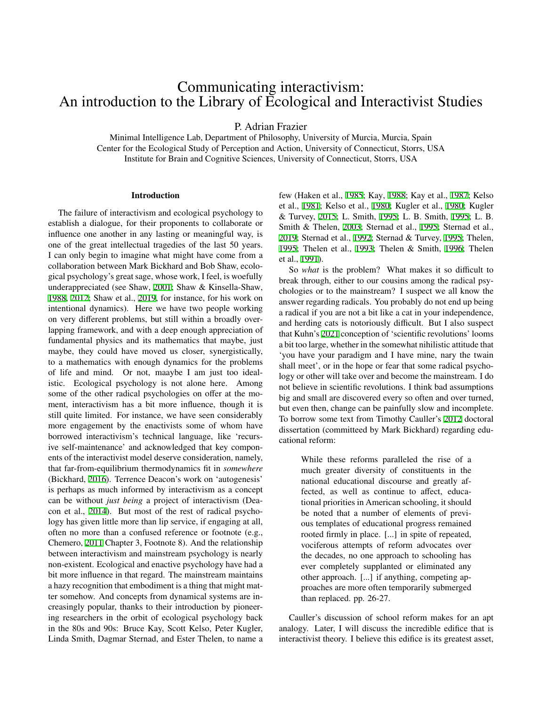# Communicating interactivism: An introduction to the Library of Ecological and Interactivist Studies

P. Adrian Frazier

Minimal Intelligence Lab, Department of Philosophy, University of Murcia, Murcia, Spain Center for the Ecological Study of Perception and Action, University of Connecticut, Storrs, USA Institute for Brain and Cognitive Sciences, University of Connecticut, Storrs, USA

## Introduction

The failure of interactivism and ecological psychology to establish a dialogue, for their proponents to collaborate or influence one another in any lasting or meaningful way, is one of the great intellectual tragedies of the last 50 years. I can only begin to imagine what might have come from a collaboration between Mark Bickhard and Bob Shaw, ecological psychology's great sage, whose work, I feel, is woefully underappreciated (see Shaw, [2001](#page-6-0); Shaw & Kinsella-Shaw, [1988,](#page-6-1) [2012](#page-6-2); Shaw et al., [2019,](#page-6-3) for instance, for his work on intentional dynamics). Here we have two people working on very different problems, but still within a broadly overlapping framework, and with a deep enough appreciation of fundamental physics and its mathematics that maybe, just maybe, they could have moved us closer, synergistically, to a mathematics with enough dynamics for the problems of life and mind. Or not, maaybe I am just too idealistic. Ecological psychology is not alone here. Among some of the other radical psychologies on offer at the moment, interactivism has a bit more influence, though it is still quite limited. For instance, we have seen considerably more engagement by the enactivists some of whom have borrowed interactivism's technical language, like 'recursive self-maintenance' and acknowledged that key components of the interactivist model deserve consideration, namely, that far-from-equilibrium thermodynamics fit in *somewhere* (Bickhard, [2016](#page-6-4)). Terrence Deacon's work on 'autogenesis' is perhaps as much informed by interactivism as a concept can be without *just being* a project of interactivism (Deacon et al., [2014\)](#page-6-5). But most of the rest of radical psychology has given little more than lip service, if engaging at all, often no more than a confused reference or footnote (e.g., Chemero, [2011](#page-6-6) Chapter 3, Footnote 8). And the relationship between interactivism and mainstream psychology is nearly non-existent. Ecological and enactive psychology have had a bit more influence in that regard. The mainstream maintains a hazy recognition that embodiment is a thing that might matter somehow. And concepts from dynamical systems are increasingly popular, thanks to their introduction by pioneering researchers in the orbit of ecological psychology back in the 80s and 90s: Bruce Kay, Scott Kelso, Peter Kugler, Linda Smith, Dagmar Sternad, and Ester Thelen, to name a few (Haken et al., [1985](#page-6-7); Kay, [1988;](#page-6-8) Kay et al., [1987;](#page-6-9) Kelso et al., [1981;](#page-6-10) Kelso et al., [1980](#page-6-11); Kugler et al., [1980;](#page-6-12) Kugler & Turvey, [2015](#page-6-13); L. Smith, [1995](#page-6-14); L. B. Smith, [1995](#page-7-0); L. B. Smith & Thelen, [2003;](#page-7-1) Sternad et al., [1995;](#page-7-2) Sternad et al., [2019;](#page-7-3) Sternad et al., [1992](#page-7-4); Sternad & Turvey, [1995;](#page-7-5) Thelen, [1995;](#page-7-6) Thelen et al., [1993](#page-7-7); Thelen & Smith, [1996;](#page-7-8) Thelen et al., [1991](#page-7-9)).

So *what* is the problem? What makes it so difficult to break through, either to our cousins among the radical psychologies or to the mainstream? I suspect we all know the answer regarding radicals. You probably do not end up being a radical if you are not a bit like a cat in your independence, and herding cats is notoriously difficult. But I also suspect that Kuhn's [2021](#page-6-15) conception of 'scientific revolutions' looms a bit too large, whether in the somewhat nihilistic attitude that 'you have your paradigm and I have mine, nary the twain shall meet', or in the hope or fear that some radical psychology or other will take over and become the mainstream. I do not believe in scientific revolutions. I think bad assumptions big and small are discovered every so often and over turned, but even then, change can be painfully slow and incomplete. To borrow some text from Timothy Cauller's [2012](#page-6-16) doctoral dissertation (committeed by Mark Bickhard) regarding educational reform:

> While these reforms paralleled the rise of a much greater diversity of constituents in the national educational discourse and greatly affected, as well as continue to affect, educational priorities in American schooling, it should be noted that a number of elements of previous templates of educational progress remained rooted firmly in place. [...] in spite of repeated, vociferous attempts of reform advocates over the decades, no one approach to schooling has ever completely supplanted or eliminated any other approach. [...] if anything, competing approaches are more often temporarily submerged than replaced. pp. 26-27.

Cauller's discussion of school reform makes for an apt analogy. Later, I will discuss the incredible edifice that is interactivist theory. I believe this edifice is its greatest asset,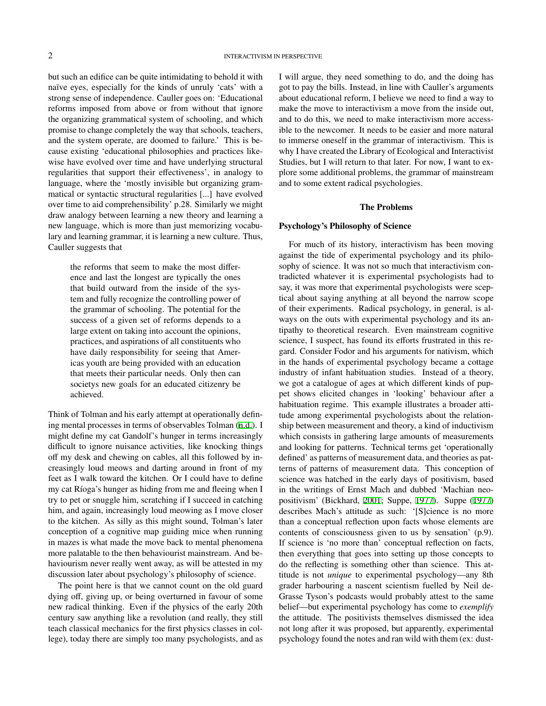but such an edifice can be quite intimidating to behold it with naïve eyes, especially for the kinds of unruly 'cats' with a strong sense of independence. Cauller goes on: 'Educational reforms imposed from above or from without that ignore the organizing grammatical system of schooling, and which promise to change completely the way that schools, teachers, and the system operate, are doomed to failure.' This is because existing 'educational philosophies and practices likewise have evolved over time and have underlying structural regularities that support their effectiveness', in analogy to language, where the 'mostly invisible but organizing grammatical or syntactic structural regularities [...] have evolved over time to aid comprehensibility' p.28. Similarly we might draw analogy between learning a new theory and learning a new language, which is more than just memorizing vocabulary and learning grammar, it is learning a new culture. Thus, Cauller suggests that

> the reforms that seem to make the most difference and last the longest are typically the ones that build outward from the inside of the system and fully recognize the controlling power of the grammar of schooling. The potential for the success of a given set of reforms depends to a large extent on taking into account the opinions, practices, and aspirations of all constituents who have daily responsibility for seeing that Americas youth are being provided with an education that meets their particular needs. Only then can societys new goals for an educated citizenry be achieved.

Think of Tolman and his early attempt at operationally defining mental processes in terms of observables Tolman ([n.d.\)](#page-7-10). I might define my cat Gandolf's hunger in terms increasingly difficult to ignore nuisance activities, like knocking things off my desk and chewing on cables, all this followed by increasingly loud meows and darting around in front of my feet as I walk toward the kitchen. Or I could have to define my cat Ríoga's hunger as hiding from me and fleeing when I try to pet or snuggle him, scratching if I succeed in catching him, and again, increasingly loud meowing as I move closer to the kitchen. As silly as this might sound, Tolman's later conception of a cognitive map guiding mice when running in mazes is what made the move back to mental phenomena more palatable to the then behaviourist mainstream. And behaviourism never really went away, as will be attested in my discussion later about psychology's philosophy of science.

The point here is that we cannot count on the old guard dying off, giving up, or being overturned in favour of some new radical thinking. Even if the physics of the early 20th century saw anything like a revolution (and really, they still teach classical mechanics for the first physics classes in college), today there are simply too many psychologists, and as

I will argue, they need something to do, and the doing has got to pay the bills. Instead, in line with Cauller's arguments about educational reform, I believe we need to find a way to make the move to interactivism a move from the inside out, and to do this, we need to make interactivism more accessible to the newcomer. It needs to be easier and more natural to immerse oneself in the grammar of interactivism. This is why I have created the Library of Ecological and Interactivist Studies, but I will return to that later. For now, I want to explore some additional problems, the grammar of mainstream and to some extent radical psychologies.

#### The Problems

### Psychology's Philosophy of Science

For much of its history, interactivism has been moving against the tide of experimental psychology and its philosophy of science. It was not so much that interactivism contradicted whatever it is experimental psychologists had to say, it was more that experimental psychologists were sceptical about saying anything at all beyond the narrow scope of their experiments. Radical psychology, in general, is always on the outs with experimental psychology and its antipathy to theoretical research. Even mainstream cognitive science, I suspect, has found its efforts frustrated in this regard. Consider Fodor and his arguments for nativism, which in the hands of experimental psychology became a cottage industry of infant habituation studies. Instead of a theory, we got a catalogue of ages at which different kinds of puppet shows elicited changes in 'looking' behaviour after a habituation regime. This example illustrates a broader attitude among experimental psychologists about the relationship between measurement and theory, a kind of inductivism which consists in gathering large amounts of measurements and looking for patterns. Technical terms get 'operationally defined' as patterns of measurement data, and theories as patterns of patterns of measurement data. This conception of science was hatched in the early days of positivism, based in the writings of Ernst Mach and dubbed 'Machian neopositivism' (Bickhard, [2001](#page-6-17); Suppe, [1977\)](#page-7-11). Suppe [\(1977](#page-7-11)) describes Mach's attitude as such: '[S]cience is no more than a conceptual reflection upon facts whose elements are contents of consciousness given to us by sensation' (p.9). If science is 'no more than' conceptual reflection on facts, then everything that goes into setting up those concepts to do the reflecting is something other than science. This attitude is not *unique* to experimental psychology—any 8th grader harbouring a nascent scientism fuelled by Neil de-Grasse Tyson's podcasts would probably attest to the same belief—but experimental psychology has come to *exemplify* the attitude. The positivists themselves dismissed the idea not long after it was proposed, but apparently, experimental psychology found the notes and ran wild with them (ex: dust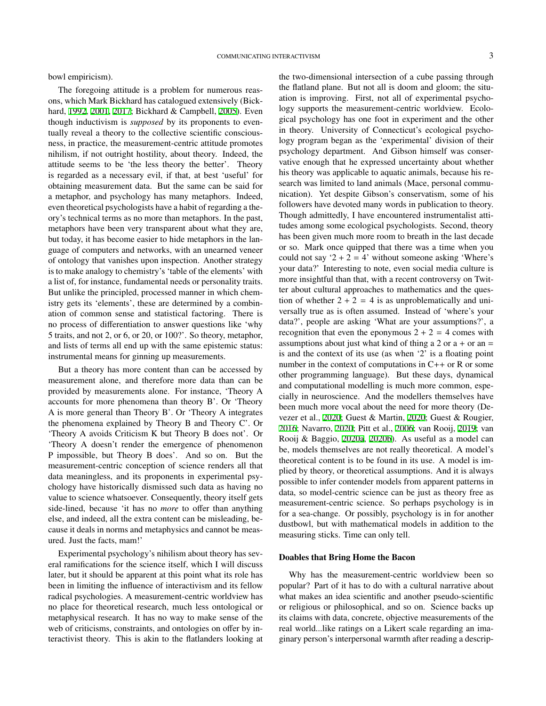bowl empiricism).

The foregoing attitude is a problem for numerous reasons, which Mark Bickhard has catalogued extensively (Bickhard, [1992,](#page-6-18) [2001,](#page-6-17) [2017;](#page-6-19) Bickhard & Campbell, [2005](#page-6-20)). Even though inductivism is *supposed* by its proponents to eventually reveal a theory to the collective scientific consciousness, in practice, the measurement-centric attitude promotes nihilism, if not outright hostility, about theory. Indeed, the attitude seems to be 'the less theory the better'. Theory is regarded as a necessary evil, if that, at best 'useful' for obtaining measurement data. But the same can be said for a metaphor, and psychology has many metaphors. Indeed, even theoretical psychologists have a habit of regarding a theory's technical terms as no more than metaphors. In the past, metaphors have been very transparent about what they are, but today, it has become easier to hide metaphors in the language of computers and networks, with an unearned veneer of ontology that vanishes upon inspection. Another strategy is to make analogy to chemistry's 'table of the elements' with a list of, for instance, fundamental needs or personality traits. But unlike the principled, processed manner in which chemistry gets its 'elements', these are determined by a combination of common sense and statistical factoring. There is no process of differentiation to answer questions like 'why 5 traits, and not 2, or 6, or 20, or 100?'. So theory, metaphor, and lists of terms all end up with the same epistemic status: instrumental means for ginning up measurements.

But a theory has more content than can be accessed by measurement alone, and therefore more data than can be provided by measurements alone. For instance, 'Theory A accounts for more phenomena than theory B'. Or 'Theory A is more general than Theory B'. Or 'Theory A integrates the phenomena explained by Theory B and Theory C'. Or 'Theory A avoids Criticism K but Theory B does not'. Or 'Theory A doesn't render the emergence of phenomenon P impossible, but Theory B does'. And so on. But the measurement-centric conception of science renders all that data meaningless, and its proponents in experimental psychology have historically dismissed such data as having no value to science whatsoever. Consequently, theory itself gets side-lined, because 'it has no *more* to offer than anything else, and indeed, all the extra content can be misleading, because it deals in norms and metaphysics and cannot be measured. Just the facts, mam!'

Experimental psychology's nihilism about theory has several ramifications for the science itself, which I will discuss later, but it should be apparent at this point what its role has been in limiting the influence of interactivism and its fellow radical psychologies. A measurement-centric worldview has no place for theoretical research, much less ontological or metaphysical research. It has no way to make sense of the web of criticisms, constraints, and ontologies on offer by interactivist theory. This is akin to the flatlanders looking at the two-dimensional intersection of a cube passing through the flatland plane. But not all is doom and gloom; the situation is improving. First, not all of experimental psychology supports the measurement-centric worldview. Ecological psychology has one foot in experiment and the other in theory. University of Connecticut's ecological psychology program began as the 'experimental' division of their psychology department. And Gibson himself was conservative enough that he expressed uncertainty about whether his theory was applicable to aquatic animals, because his research was limited to land animals (Mace, personal communication). Yet despite Gibson's conservatism, some of his followers have devoted many words in publication to theory. Though admittedly, I have encountered instrumentalist attitudes among some ecological psychologists. Second, theory has been given much more room to breath in the last decade or so. Mark once quipped that there was a time when you could not say '2 + 2 = 4' without someone asking 'Where's your data?' Interesting to note, even social media culture is more insightful than that, with a recent controversy on Twitter about cultural approaches to mathematics and the question of whether  $2 + 2 = 4$  is as unproblematically and universally true as is often assumed. Instead of 'where's your data?', people are asking 'What are your assumptions?', a recognition that even the eponymous  $2 + 2 = 4$  comes with assumptions about just what kind of thing a 2 or  $a + or an =$ is and the context of its use (as when '2' is a floating point number in the context of computations in C++ or R or some other programming language). But these days, dynamical and computational modelling is much more common, especially in neuroscience. And the modellers themselves have been much more vocal about the need for more theory (Devezer et al., [2020](#page-6-21); Guest & Martin, [2020](#page-6-22); Guest & Rougier, [2016;](#page-6-23) Navarro, [2020](#page-6-24); Pitt et al., [2006;](#page-6-25) van Rooij, [2019;](#page-7-12) van Rooij & Baggio, [2020a](#page-7-13), [2020b](#page-7-14)). As useful as a model can be, models themselves are not really theoretical. A model's theoretical content is to be found in its use. A model is implied by theory, or theoretical assumptions. And it is always possible to infer contender models from apparent patterns in data, so model-centric science can be just as theory free as measurement-centric science. So perhaps psychology is in for a sea-change. Or possibly, psychology is in for another dustbowl, but with mathematical models in addition to the measuring sticks. Time can only tell.

#### Doables that Bring Home the Bacon

Why has the measurement-centric worldview been so popular? Part of it has to do with a cultural narrative about what makes an idea scientific and another pseudo-scientific or religious or philosophical, and so on. Science backs up its claims with data, concrete, objective measurements of the real world...like ratings on a Likert scale regarding an imaginary person's interpersonal warmth after reading a descrip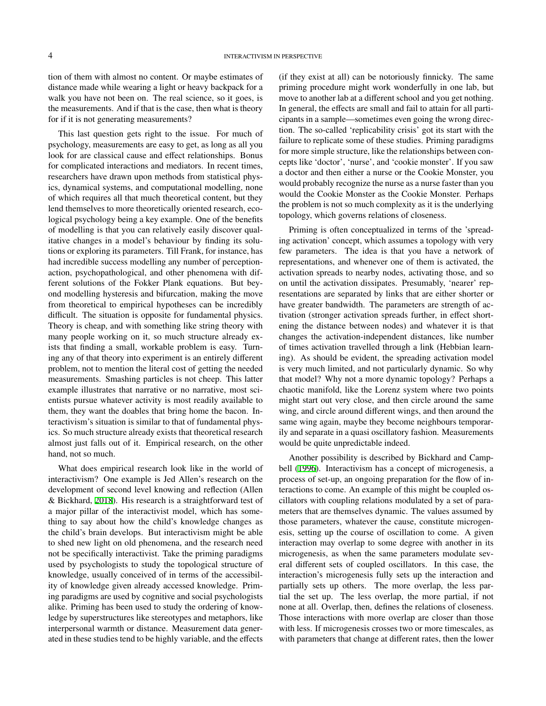tion of them with almost no content. Or maybe estimates of distance made while wearing a light or heavy backpack for a walk you have not been on. The real science, so it goes, is the measurements. And if that is the case, then what is theory for if it is not generating measurements?

This last question gets right to the issue. For much of psychology, measurements are easy to get, as long as all you look for are classical cause and effect relationships. Bonus for complicated interactions and mediators. In recent times, researchers have drawn upon methods from statistical physics, dynamical systems, and computational modelling, none of which requires all that much theoretical content, but they lend themselves to more theoretically oriented research, ecological psychology being a key example. One of the benefits of modelling is that you can relatively easily discover qualitative changes in a model's behaviour by finding its solutions or exploring its parameters. Till Frank, for instance, has had incredible success modelling any number of perceptionaction, psychopathological, and other phenomena with different solutions of the Fokker Plank equations. But beyond modelling hysteresis and bifurcation, making the move from theoretical to empirical hypotheses can be incredibly difficult. The situation is opposite for fundamental physics. Theory is cheap, and with something like string theory with many people working on it, so much structure already exists that finding a small, workable problem is easy. Turning any of that theory into experiment is an entirely different problem, not to mention the literal cost of getting the needed measurements. Smashing particles is not cheep. This latter example illustrates that narrative or no narrative, most scientists pursue whatever activity is most readily available to them, they want the doables that bring home the bacon. Interactivism's situation is similar to that of fundamental physics. So much structure already exists that theoretical research almost just falls out of it. Empirical research, on the other hand, not so much.

What does empirical research look like in the world of interactivism? One example is Jed Allen's research on the development of second level knowing and reflection (Allen & Bickhard, [2018](#page-6-26)). His research is a straightforward test of a major pillar of the interactivist model, which has something to say about how the child's knowledge changes as the child's brain develops. But interactivism might be able to shed new light on old phenomena, and the research need not be specifically interactivist. Take the priming paradigms used by psychologists to study the topological structure of knowledge, usually conceived of in terms of the accessibility of knowledge given already accessed knowledge. Priming paradigms are used by cognitive and social psychologists alike. Priming has been used to study the ordering of knowledge by superstructures like stereotypes and metaphors, like interpersonal warmth or distance. Measurement data generated in these studies tend to be highly variable, and the effects

(if they exist at all) can be notoriously finnicky. The same priming procedure might work wonderfully in one lab, but move to another lab at a different school and you get nothing. In general, the effects are small and fail to attain for all participants in a sample—sometimes even going the wrong direction. The so-called 'replicability crisis' got its start with the failure to replicate some of these studies. Priming paradigms for more simple structure, like the relationships between concepts like 'doctor', 'nurse', and 'cookie monster'. If you saw a doctor and then either a nurse or the Cookie Monster, you would probably recognize the nurse as a nurse faster than you would the Cookie Monster as the Cookie Monster. Perhaps the problem is not so much complexity as it is the underlying topology, which governs relations of closeness.

Priming is often conceptualized in terms of the 'spreading activation' concept, which assumes a topology with very few parameters. The idea is that you have a network of representations, and whenever one of them is activated, the activation spreads to nearby nodes, activating those, and so on until the activation dissipates. Presumably, 'nearer' representations are separated by links that are either shorter or have greater bandwidth. The parameters are strength of activation (stronger activation spreads further, in effect shortening the distance between nodes) and whatever it is that changes the activation-independent distances, like number of times activation travelled through a link (Hebbian learning). As should be evident, the spreading activation model is very much limited, and not particularly dynamic. So why that model? Why not a more dynamic topology? Perhaps a chaotic manifold, like the Lorenz system where two points might start out very close, and then circle around the same wing, and circle around different wings, and then around the same wing again, maybe they become neighbours temporarily and separate in a quasi oscillatory fashion. Measurements would be quite unpredictable indeed.

Another possibility is described by Bickhard and Campbell [\(1996](#page-6-27)). Interactivism has a concept of microgenesis, a process of set-up, an ongoing preparation for the flow of interactions to come. An example of this might be coupled oscillators with coupling relations modulated by a set of parameters that are themselves dynamic. The values assumed by those parameters, whatever the cause, constitute microgenesis, setting up the course of oscillation to come. A given interaction may overlap to some degree with another in its microgenesis, as when the same parameters modulate several different sets of coupled oscillators. In this case, the interaction's microgenesis fully sets up the interaction and partially sets up others. The more overlap, the less partial the set up. The less overlap, the more partial, if not none at all. Overlap, then, defines the relations of closeness. Those interactions with more overlap are closer than those with less. If microgenesis crosses two or more timescales, as with parameters that change at different rates, then the lower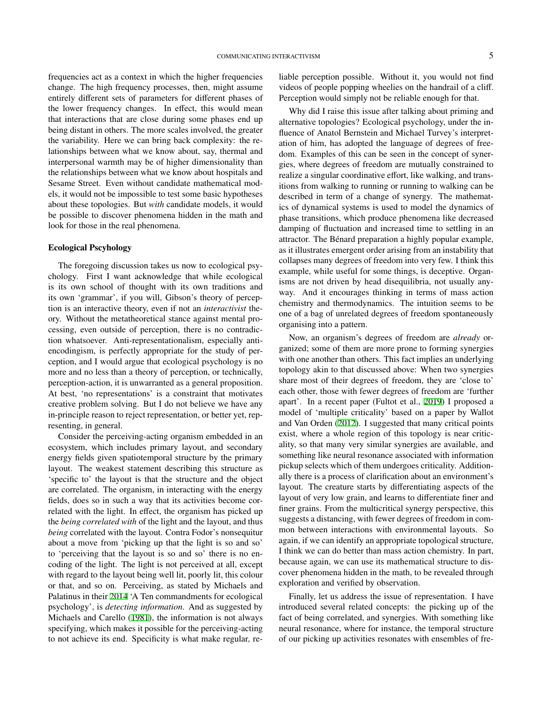frequencies act as a context in which the higher frequencies change. The high frequency processes, then, might assume entirely different sets of parameters for different phases of the lower frequency changes. In effect, this would mean that interactions that are close during some phases end up being distant in others. The more scales involved, the greater the variability. Here we can bring back complexity: the relationships between what we know about, say, thermal and interpersonal warmth may be of higher dimensionality than the relationships between what we know about hospitals and Sesame Street. Even without candidate mathematical models, it would not be impossible to test some basic hypotheses about these topologies. But *with* candidate models, it would be possible to discover phenomena hidden in the math and look for those in the real phenomena.

## Ecological Pscyhology

The foregoing discussion takes us now to ecological psychology. First I want acknowledge that while ecological is its own school of thought with its own traditions and its own 'grammar', if you will, Gibson's theory of perception is an interactive theory, even if not an *interactivist* theory. Without the metatheoretical stance against mental processing, even outside of perception, there is no contradiction whatsoever. Anti-representationalism, especially antiencodingism, is perfectly appropriate for the study of perception, and I would argue that ecological psychology is no more and no less than a theory of perception, or technically, perception-action, it is unwarranted as a general proposition. At best, 'no representations' is a constraint that motivates creative problem solving. But I do not believe we have any in-principle reason to reject representation, or better yet, representing, in general.

Consider the perceiving-acting organism embedded in an ecosystem, which includes primary layout, and secondary energy fields given spatiotemporal structure by the primary layout. The weakest statement describing this structure as 'specific to' the layout is that the structure and the object are correlated. The organism, in interacting with the energy fields, does so in such a way that its activities become correlated with the light. In effect, the organism has picked up the *being correlated with* of the light and the layout, and thus *being* correlated with the layout. Contra Fodor's nonsequitur about a move from 'picking up that the light is so and so' to 'perceiving that the layout is so and so' there is no encoding of the light. The light is not perceived at all, except with regard to the layout being well lit, poorly lit, this colour or that, and so on. Perceiving, as stated by Michaels and Palatinus in their [2014](#page-6-28) 'A Ten commandments for ecological psychology', is *detecting information*. And as suggested by Michaels and Carello [\(1981\)](#page-6-29), the information is not always specifying, which makes it possible for the perceiving-acting to not achieve its end. Specificity is what make regular, reliable perception possible. Without it, you would not find videos of people popping wheelies on the handrail of a cliff. Perception would simply not be reliable enough for that.

Why did I raise this issue after talking about priming and alternative topologies? Ecological psychology, under the influence of Anatol Bernstein and Michael Turvey's interpretation of him, has adopted the language of degrees of freedom. Examples of this can be seen in the concept of synergies, where degrees of freedom are mutually constrained to realize a singular coordinative effort, like walking, and transitions from walking to running or running to walking can be described in term of a change of synergy. The mathematics of dynamical systems is used to model the dynamics of phase transitions, which produce phenomena like decreased damping of fluctuation and increased time to settling in an attractor. The Bénard preparation a highly popular example, as it illustrates emergent order arising from an instability that collapses many degrees of freedom into very few. I think this example, while useful for some things, is deceptive. Organisms are not driven by head disequilibria, not usually anyway. And it encourages thinking in terms of mass action chemistry and thermodynamics. The intuition seems to be one of a bag of unrelated degrees of freedom spontaneously organising into a pattern.

Now, an organism's degrees of freedom are *already* organized; some of them are more prone to forming synergies with one another than others. This fact implies an underlying topology akin to that discussed above: When two synergies share most of their degrees of freedom, they are 'close to' each other, those with fewer degrees of freedom are 'further apart'. In a recent paper (Fultot et al., [2019](#page-6-30)) I proposed a model of 'multiple criticality' based on a paper by Wallot and Van Orden [\(2012\)](#page-7-15). I suggested that many critical points exist, where a whole region of this topology is near criticality, so that many very similar synergies are available, and something like neural resonance associated with information pickup selects which of them undergoes criticality. Additionally there is a process of clarification about an environment's layout. The creature starts by differentiating aspects of the layout of very low grain, and learns to differentiate finer and finer grains. From the multicritical synergy perspective, this suggests a distancing, with fewer degrees of freedom in common between interactions with environmental layouts. So again, if we can identify an appropriate topological structure, I think we can do better than mass action chemistry. In part, because again, we can use its mathematical structure to discover phenomena hidden in the math, to be revealed through exploration and verified by observation.

Finally, let us address the issue of representation. I have introduced several related concepts: the picking up of the fact of being correlated, and synergies. With something like neural resonance, where for instance, the temporal structure of our picking up activities resonates with ensembles of fre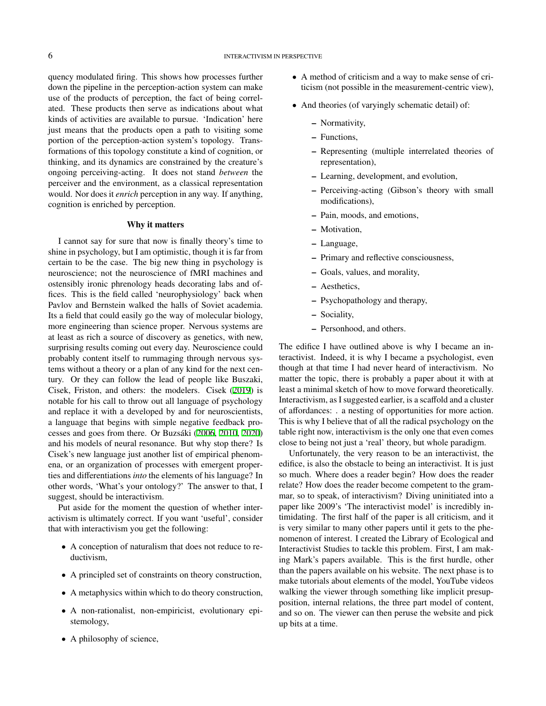quency modulated firing. This shows how processes further down the pipeline in the perception-action system can make use of the products of perception, the fact of being correlated. These products then serve as indications about what kinds of activities are available to pursue. 'Indication' here just means that the products open a path to visiting some portion of the perception-action system's topology. Transformations of this topology constitute a kind of cognition, or thinking, and its dynamics are constrained by the creature's ongoing perceiving-acting. It does not stand *between* the perceiver and the environment, as a classical representation would. Nor does it *enrich* perception in any way. If anything, cognition is enriched by perception.

# Why it matters

I cannot say for sure that now is finally theory's time to shine in psychology, but I am optimistic, though it is far from certain to be the case. The big new thing in psychology is neuroscience; not the neuroscience of fMRI machines and ostensibly ironic phrenology heads decorating labs and offices. This is the field called 'neurophysiology' back when Pavlov and Bernstein walked the halls of Soviet academia. Its a field that could easily go the way of molecular biology, more engineering than science proper. Nervous systems are at least as rich a source of discovery as genetics, with new, surprising results coming out every day. Neuroscience could probably content itself to rummaging through nervous systems without a theory or a plan of any kind for the next century. Or they can follow the lead of people like Buszaki, Cisek, Friston, and others: the modelers. Cisek [\(2019](#page-6-31)) is notable for his call to throw out all language of psychology and replace it with a developed by and for neuroscientists, a language that begins with simple negative feedback processes and goes from there. Or Buzsáki ([2006,](#page-6-32) [2010](#page-6-33), [2020\)](#page-6-34) and his models of neural resonance. But why stop there? Is Cisek's new language just another list of empirical phenomena, or an organization of processes with emergent properties and differentiations *into* the elements of his language? In other words, 'What's your ontology?' The answer to that, I suggest, should be interactivism.

Put aside for the moment the question of whether interactivism is ultimately correct. If you want 'useful', consider that with interactivism you get the following:

- A conception of naturalism that does not reduce to reductivism,
- A principled set of constraints on theory construction,
- A metaphysics within which to do theory construction,
- A non-rationalist, non-empiricist, evolutionary epistemology,
- A philosophy of science,
- A method of criticism and a way to make sense of criticism (not possible in the measurement-centric view),
- And theories (of varyingly schematic detail) of:
	- Normativity,
	- Functions,
	- Representing (multiple interrelated theories of representation),
	- Learning, development, and evolution,
	- Perceiving-acting (Gibson's theory with small modifications),
	- Pain, moods, and emotions,
	- Motivation,
	- Language,
	- Primary and reflective consciousness,
	- Goals, values, and morality,
	- Aesthetics,
	- Psychopathology and therapy,
	- Sociality,
	- Personhood, and others.

The edifice I have outlined above is why I became an interactivist. Indeed, it is why I became a psychologist, even though at that time I had never heard of interactivism. No matter the topic, there is probably a paper about it with at least a minimal sketch of how to move forward theoretically. Interactivism, as I suggested earlier, is a scaffold and a cluster of affordances: . a nesting of opportunities for more action. This is why I believe that of all the radical psychology on the table right now, interactivism is the only one that even comes close to being not just a 'real' theory, but whole paradigm.

Unfortunately, the very reason to be an interactivist, the edifice, is also the obstacle to being an interactivist. It is just so much. Where does a reader begin? How does the reader relate? How does the reader become competent to the grammar, so to speak, of interactivism? Diving uninitiated into a paper like 2009's 'The interactivist model' is incredibly intimidating. The first half of the paper is all criticism, and it is very similar to many other papers until it gets to the phenomenon of interest. I created the Library of Ecological and Interactivist Studies to tackle this problem. First, I am making Mark's papers available. This is the first hurdle, other than the papers available on his website. The next phase is to make tutorials about elements of the model, YouTube videos walking the viewer through something like implicit presupposition, internal relations, the three part model of content, and so on. The viewer can then peruse the website and pick up bits at a time.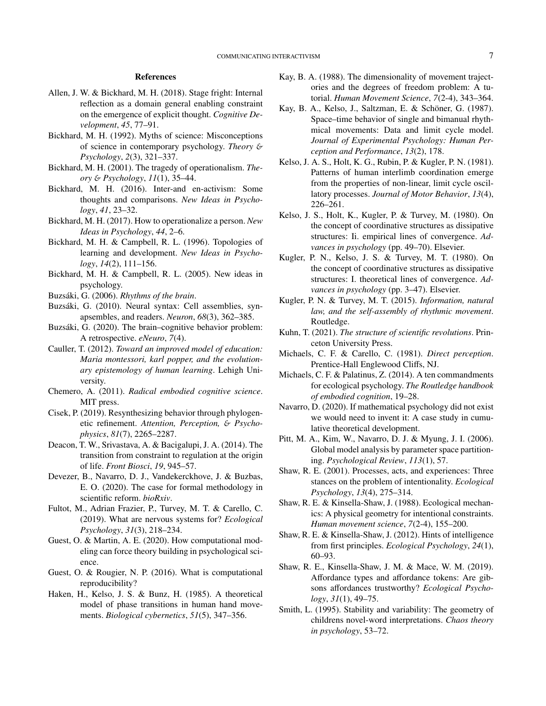#### References

- <span id="page-6-26"></span>Allen, J. W. & Bickhard, M. H. (2018). Stage fright: Internal reflection as a domain general enabling constraint on the emergence of explicit thought. *Cognitive Development*, *45*, 77–91.
- <span id="page-6-18"></span>Bickhard, M. H. (1992). Myths of science: Misconceptions of science in contemporary psychology. *Theory* & *Psychology*, *2*(3), 321–337.
- <span id="page-6-17"></span>Bickhard, M. H. (2001). The tragedy of operationalism. *Theory* & *Psychology*, *11*(1), 35–44.
- <span id="page-6-4"></span>Bickhard, M. H. (2016). Inter-and en-activism: Some thoughts and comparisons. *New Ideas in Psychology*, *41*, 23–32.
- <span id="page-6-19"></span>Bickhard, M. H. (2017). How to operationalize a person. *New Ideas in Psychology*, *44*, 2–6.
- <span id="page-6-27"></span>Bickhard, M. H. & Campbell, R. L. (1996). Topologies of learning and development. *New Ideas in Psychology*, *14*(2), 111–156.
- <span id="page-6-20"></span>Bickhard, M. H. & Campbell, R. L. (2005). New ideas in psychology.
- <span id="page-6-32"></span>Buzsáki, G. (2006). *Rhythms of the brain*.
- <span id="page-6-33"></span>Buzsáki, G. (2010). Neural syntax: Cell assemblies, synapsembles, and readers. *Neuron*, *68*(3), 362–385.
- <span id="page-6-34"></span>Buzsáki, G. (2020). The brain–cognitive behavior problem: A retrospective. *eNeuro*, *7*(4).
- <span id="page-6-16"></span>Cauller, T. (2012). *Toward an improved model of education: Maria montessori, karl popper, and the evolutionary epistemology of human learning*. Lehigh University.
- <span id="page-6-6"></span>Chemero, A. (2011). *Radical embodied cognitive science*. MIT press.
- <span id="page-6-31"></span>Cisek, P. (2019). Resynthesizing behavior through phylogenetic refinement. *Attention, Perception,* & *Psychophysics*, *81*(7), 2265–2287.
- <span id="page-6-5"></span>Deacon, T. W., Srivastava, A. & Bacigalupi, J. A. (2014). The transition from constraint to regulation at the origin of life. *Front Biosci*, *19*, 945–57.
- <span id="page-6-21"></span>Devezer, B., Navarro, D. J., Vandekerckhove, J. & Buzbas, E. O. (2020). The case for formal methodology in scientific reform. *bioRxiv*.
- <span id="page-6-30"></span>Fultot, M., Adrian Frazier, P., Turvey, M. T. & Carello, C. (2019). What are nervous systems for? *Ecological Psychology*, *31*(3), 218–234.
- <span id="page-6-22"></span>Guest, O. & Martin, A. E. (2020). How computational modeling can force theory building in psychological science.
- <span id="page-6-23"></span>Guest, O. & Rougier, N. P. (2016). What is computational reproducibility?
- <span id="page-6-7"></span>Haken, H., Kelso, J. S. & Bunz, H. (1985). A theoretical model of phase transitions in human hand movements. *Biological cybernetics*, *51*(5), 347–356.
- <span id="page-6-8"></span>Kay, B. A. (1988). The dimensionality of movement trajectories and the degrees of freedom problem: A tutorial. *Human Movement Science*, *7*(2-4), 343–364.
- <span id="page-6-9"></span>Kay, B. A., Kelso, J., Saltzman, E. & Schöner, G. (1987). Space–time behavior of single and bimanual rhythmical movements: Data and limit cycle model. *Journal of Experimental Psychology: Human Perception and Performance*, *13*(2), 178.
- <span id="page-6-10"></span>Kelso, J. A. S., Holt, K. G., Rubin, P. & Kugler, P. N. (1981). Patterns of human interlimb coordination emerge from the properties of non-linear, limit cycle oscillatory processes. *Journal of Motor Behavior*, *13*(4), 226–261.
- <span id="page-6-11"></span>Kelso, J. S., Holt, K., Kugler, P. & Turvey, M. (1980). On the concept of coordinative structures as dissipative structures: Ii. empirical lines of convergence. *Advances in psychology* (pp. 49–70). Elsevier.
- <span id="page-6-12"></span>Kugler, P. N., Kelso, J. S. & Turvey, M. T. (1980). On the concept of coordinative structures as dissipative structures: I. theoretical lines of convergence. *Advances in psychology* (pp. 3–47). Elsevier.
- <span id="page-6-13"></span>Kugler, P. N. & Turvey, M. T. (2015). *Information, natural law, and the self-assembly of rhythmic movement*. Routledge.
- <span id="page-6-15"></span>Kuhn, T. (2021). *The structure of scientific revolutions*. Princeton University Press.
- <span id="page-6-29"></span>Michaels, C. F. & Carello, C. (1981). *Direct perception*. Prentice-Hall Englewood Cliffs, NJ.
- <span id="page-6-28"></span>Michaels, C. F. & Palatinus, Z. (2014). A ten commandments for ecological psychology. *The Routledge handbook of embodied cognition*, 19–28.
- <span id="page-6-24"></span>Navarro, D. (2020). If mathematical psychology did not exist we would need to invent it: A case study in cumulative theoretical development.
- <span id="page-6-25"></span>Pitt, M. A., Kim, W., Navarro, D. J. & Myung, J. I. (2006). Global model analysis by parameter space partitioning. *Psychological Review*, *113*(1), 57.
- <span id="page-6-0"></span>Shaw, R. E. (2001). Processes, acts, and experiences: Three stances on the problem of intentionality. *Ecological Psychology*, *13*(4), 275–314.
- <span id="page-6-1"></span>Shaw, R. E. & Kinsella-Shaw, J. (1988). Ecological mechanics: A physical geometry for intentional constraints. *Human movement science*, *7*(2-4), 155–200.
- <span id="page-6-2"></span>Shaw, R. E. & Kinsella-Shaw, J. (2012). Hints of intelligence from first principles. *Ecological Psychology*, *24*(1), 60–93.
- <span id="page-6-3"></span>Shaw, R. E., Kinsella-Shaw, J. M. & Mace, W. M. (2019). Affordance types and affordance tokens: Are gibsons affordances trustworthy? *Ecological Psychology*, *31*(1), 49–75.
- <span id="page-6-14"></span>Smith, L. (1995). Stability and variability: The geometry of childrens novel-word interpretations. *Chaos theory in psychology*, 53–72.